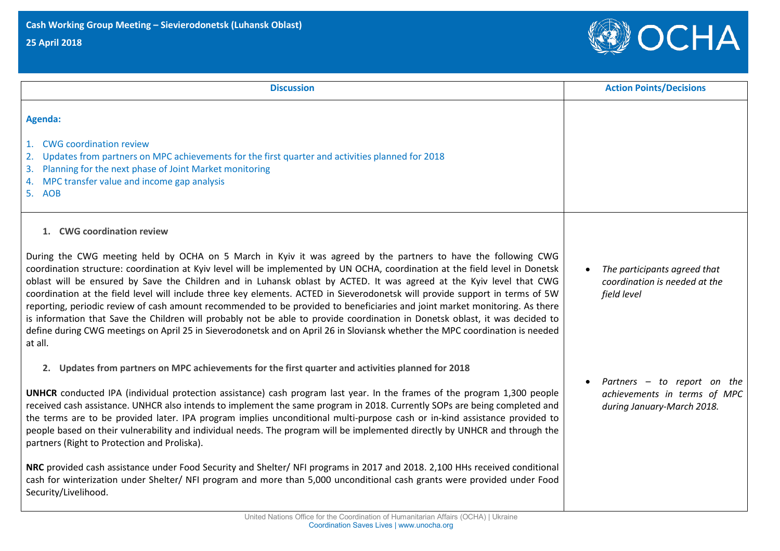## **25 April 2018**



| <b>Discussion</b>                                                                                                                                                                                                                                                                                                                                                                                                                                                                                                                                                                                                                                                                                                                                                                                                                                                                                                 | <b>Action Points/Decisions</b>                                                              |
|-------------------------------------------------------------------------------------------------------------------------------------------------------------------------------------------------------------------------------------------------------------------------------------------------------------------------------------------------------------------------------------------------------------------------------------------------------------------------------------------------------------------------------------------------------------------------------------------------------------------------------------------------------------------------------------------------------------------------------------------------------------------------------------------------------------------------------------------------------------------------------------------------------------------|---------------------------------------------------------------------------------------------|
| Agenda:                                                                                                                                                                                                                                                                                                                                                                                                                                                                                                                                                                                                                                                                                                                                                                                                                                                                                                           |                                                                                             |
| <b>CWG</b> coordination review<br>1.<br>Updates from partners on MPC achievements for the first quarter and activities planned for 2018<br>2.<br>Planning for the next phase of Joint Market monitoring<br>3.<br>MPC transfer value and income gap analysis<br>4.<br>5. AOB                                                                                                                                                                                                                                                                                                                                                                                                                                                                                                                                                                                                                                       |                                                                                             |
| 1. CWG coordination review                                                                                                                                                                                                                                                                                                                                                                                                                                                                                                                                                                                                                                                                                                                                                                                                                                                                                        |                                                                                             |
| During the CWG meeting held by OCHA on 5 March in Kyiv it was agreed by the partners to have the following CWG<br>coordination structure: coordination at Kyiv level will be implemented by UN OCHA, coordination at the field level in Donetsk<br>oblast will be ensured by Save the Children and in Luhansk oblast by ACTED. It was agreed at the Kyiv level that CWG<br>coordination at the field level will include three key elements. ACTED in Sieverodonetsk will provide support in terms of 5W<br>reporting, periodic review of cash amount recommended to be provided to beneficiaries and joint market monitoring. As there<br>is information that Save the Children will probably not be able to provide coordination in Donetsk oblast, it was decided to<br>define during CWG meetings on April 25 in Sieverodonetsk and on April 26 in Sloviansk whether the MPC coordination is needed<br>at all. | The participants agreed that<br>coordination is needed at the<br>field level                |
| 2. Updates from partners on MPC achievements for the first quarter and activities planned for 2018<br><b>UNHCR</b> conducted IPA (individual protection assistance) cash program last year. In the frames of the program 1,300 people<br>received cash assistance. UNHCR also intends to implement the same program in 2018. Currently SOPs are being completed and<br>the terms are to be provided later. IPA program implies unconditional multi-purpose cash or in-kind assistance provided to<br>people based on their vulnerability and individual needs. The program will be implemented directly by UNHCR and through the<br>partners (Right to Protection and Proliska).                                                                                                                                                                                                                                  | Partners $-$ to report on the<br>achievements in terms of MPC<br>during January-March 2018. |
| NRC provided cash assistance under Food Security and Shelter/ NFI programs in 2017 and 2018. 2,100 HHs received conditional<br>cash for winterization under Shelter/ NFI program and more than 5,000 unconditional cash grants were provided under Food<br>Security/Livelihood.                                                                                                                                                                                                                                                                                                                                                                                                                                                                                                                                                                                                                                   |                                                                                             |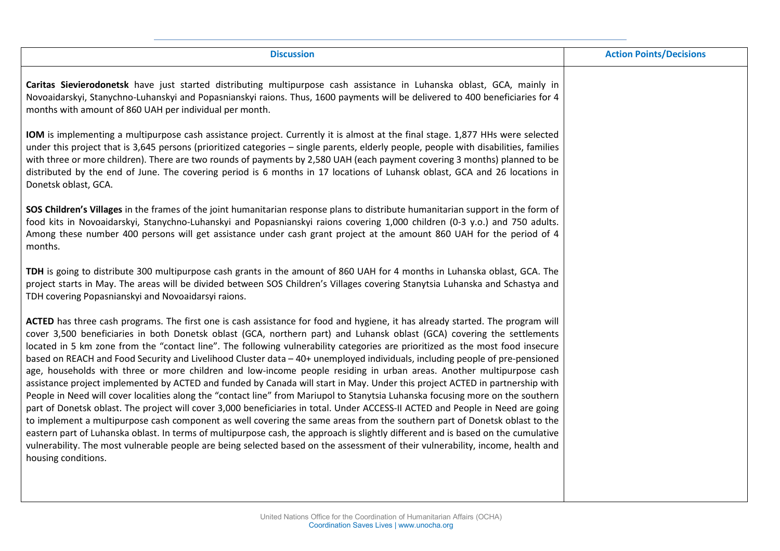| <b>Discussion</b>                                                                                                                                                                                                                                                                                                                                                                                                                                                                                                                                                                                                                                                                                                                                                                                                                                                                                                                                                                                                                                                                                                                                                                                                                                                                                                                                                                                                                                                                      | <b>Action Points/Decisions</b> |
|----------------------------------------------------------------------------------------------------------------------------------------------------------------------------------------------------------------------------------------------------------------------------------------------------------------------------------------------------------------------------------------------------------------------------------------------------------------------------------------------------------------------------------------------------------------------------------------------------------------------------------------------------------------------------------------------------------------------------------------------------------------------------------------------------------------------------------------------------------------------------------------------------------------------------------------------------------------------------------------------------------------------------------------------------------------------------------------------------------------------------------------------------------------------------------------------------------------------------------------------------------------------------------------------------------------------------------------------------------------------------------------------------------------------------------------------------------------------------------------|--------------------------------|
| Caritas Sievierodonetsk have just started distributing multipurpose cash assistance in Luhanska oblast, GCA, mainly in<br>Novoaidarskyi, Stanychno-Luhanskyi and Popasnianskyi raions. Thus, 1600 payments will be delivered to 400 beneficiaries for 4<br>months with amount of 860 UAH per individual per month.                                                                                                                                                                                                                                                                                                                                                                                                                                                                                                                                                                                                                                                                                                                                                                                                                                                                                                                                                                                                                                                                                                                                                                     |                                |
| IOM is implementing a multipurpose cash assistance project. Currently it is almost at the final stage. 1,877 HHs were selected<br>under this project that is 3,645 persons (prioritized categories - single parents, elderly people, people with disabilities, families<br>with three or more children). There are two rounds of payments by 2,580 UAH (each payment covering 3 months) planned to be<br>distributed by the end of June. The covering period is 6 months in 17 locations of Luhansk oblast, GCA and 26 locations in<br>Donetsk oblast, GCA.                                                                                                                                                                                                                                                                                                                                                                                                                                                                                                                                                                                                                                                                                                                                                                                                                                                                                                                            |                                |
| SOS Children's Villages in the frames of the joint humanitarian response plans to distribute humanitarian support in the form of<br>food kits in Novoaidarskyi, Stanychno-Luhanskyi and Popasnianskyi raions covering 1,000 children (0-3 y.o.) and 750 adults.<br>Among these number 400 persons will get assistance under cash grant project at the amount 860 UAH for the period of 4<br>months.                                                                                                                                                                                                                                                                                                                                                                                                                                                                                                                                                                                                                                                                                                                                                                                                                                                                                                                                                                                                                                                                                    |                                |
| TDH is going to distribute 300 multipurpose cash grants in the amount of 860 UAH for 4 months in Luhanska oblast, GCA. The<br>project starts in May. The areas will be divided between SOS Children's Villages covering Stanytsia Luhanska and Schastya and<br>TDH covering Popasnianskyi and Novoaidarsyi raions.                                                                                                                                                                                                                                                                                                                                                                                                                                                                                                                                                                                                                                                                                                                                                                                                                                                                                                                                                                                                                                                                                                                                                                     |                                |
| ACTED has three cash programs. The first one is cash assistance for food and hygiene, it has already started. The program will<br>cover 3,500 beneficiaries in both Donetsk oblast (GCA, northern part) and Luhansk oblast (GCA) covering the settlements<br>located in 5 km zone from the "contact line". The following vulnerability categories are prioritized as the most food insecure<br>based on REACH and Food Security and Livelihood Cluster data - 40+ unemployed individuals, including people of pre-pensioned<br>age, households with three or more children and low-income people residing in urban areas. Another multipurpose cash<br>assistance project implemented by ACTED and funded by Canada will start in May. Under this project ACTED in partnership with<br>People in Need will cover localities along the "contact line" from Mariupol to Stanytsia Luhanska focusing more on the southern<br>part of Donetsk oblast. The project will cover 3,000 beneficiaries in total. Under ACCESS-II ACTED and People in Need are going<br>to implement a multipurpose cash component as well covering the same areas from the southern part of Donetsk oblast to the<br>eastern part of Luhanska oblast. In terms of multipurpose cash, the approach is slightly different and is based on the cumulative<br>vulnerability. The most vulnerable people are being selected based on the assessment of their vulnerability, income, health and<br>housing conditions. |                                |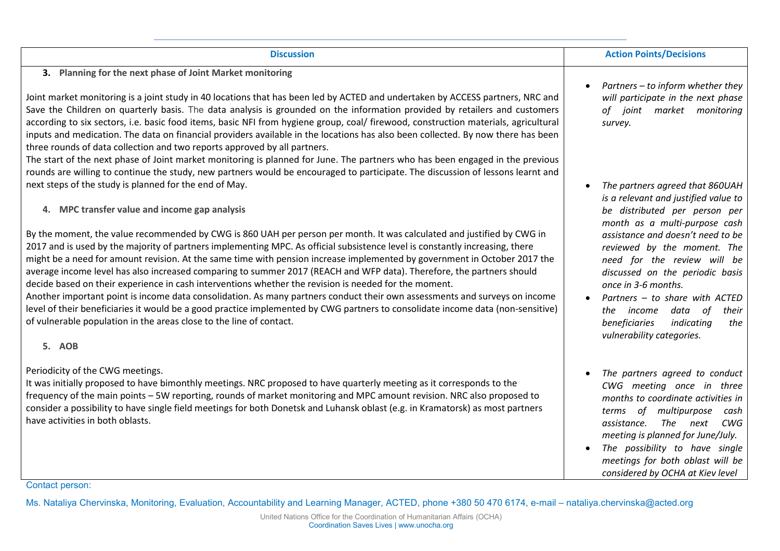| <b>Discussion</b>                                                                                                                                                                                                                                                                                                                                                                                                                                                                                                                                                                                                                                                                                                                                                                                                                                                                                                                                                                                                                                                                         | <b>Action Points/Decisions</b>                                                                                                                                                                                                                                                                                                                                                                                                                       |
|-------------------------------------------------------------------------------------------------------------------------------------------------------------------------------------------------------------------------------------------------------------------------------------------------------------------------------------------------------------------------------------------------------------------------------------------------------------------------------------------------------------------------------------------------------------------------------------------------------------------------------------------------------------------------------------------------------------------------------------------------------------------------------------------------------------------------------------------------------------------------------------------------------------------------------------------------------------------------------------------------------------------------------------------------------------------------------------------|------------------------------------------------------------------------------------------------------------------------------------------------------------------------------------------------------------------------------------------------------------------------------------------------------------------------------------------------------------------------------------------------------------------------------------------------------|
| 3. Planning for the next phase of Joint Market monitoring<br>Joint market monitoring is a joint study in 40 locations that has been led by ACTED and undertaken by ACCESS partners, NRC and<br>Save the Children on quarterly basis. The data analysis is grounded on the information provided by retailers and customers<br>according to six sectors, i.e. basic food items, basic NFI from hygiene group, coal/ firewood, construction materials, agricultural<br>inputs and medication. The data on financial providers available in the locations has also been collected. By now there has been<br>three rounds of data collection and two reports approved by all partners.<br>The start of the next phase of Joint market monitoring is planned for June. The partners who has been engaged in the previous<br>rounds are willing to continue the study, new partners would be encouraged to participate. The discussion of lessons learnt and                                                                                                                                     | Partners - to inform whether they<br>will participate in the next phase<br>of joint market monitoring<br>survey.                                                                                                                                                                                                                                                                                                                                     |
| next steps of the study is planned for the end of May.<br>4. MPC transfer value and income gap analysis<br>By the moment, the value recommended by CWG is 860 UAH per person per month. It was calculated and justified by CWG in<br>2017 and is used by the majority of partners implementing MPC. As official subsistence level is constantly increasing, there<br>might be a need for amount revision. At the same time with pension increase implemented by government in October 2017 the<br>average income level has also increased comparing to summer 2017 (REACH and WFP data). Therefore, the partners should<br>decide based on their experience in cash interventions whether the revision is needed for the moment.<br>Another important point is income data consolidation. As many partners conduct their own assessments and surveys on income<br>level of their beneficiaries it would be a good practice implemented by CWG partners to consolidate income data (non-sensitive)<br>of vulnerable population in the areas close to the line of contact.<br><b>5. AOB</b> | The partners agreed that 860UAH<br>is a relevant and justified value to<br>be distributed per person per<br>month as a multi-purpose cash<br>assistance and doesn't need to be<br>reviewed by the moment. The<br>need for the review will be<br>discussed on the periodic basis<br>once in 3-6 months.<br>Partners - to share with ACTED<br>the <i>income</i><br>data of<br>their<br>beneficiaries<br>indicating<br>the<br>vulnerability categories. |
| Periodicity of the CWG meetings.<br>It was initially proposed to have bimonthly meetings. NRC proposed to have quarterly meeting as it corresponds to the<br>frequency of the main points - 5W reporting, rounds of market monitoring and MPC amount revision. NRC also proposed to<br>consider a possibility to have single field meetings for both Donetsk and Luhansk oblast (e.g. in Kramatorsk) as most partners<br>have activities in both oblasts.                                                                                                                                                                                                                                                                                                                                                                                                                                                                                                                                                                                                                                 | The partners agreed to conduct<br>CWG meeting once in three<br>months to coordinate activities in<br>terms of multipurpose<br>cash<br>The next<br>assistance.<br>CWG<br>meeting is planned for June/July.<br>The possibility to have single<br>meetings for both oblast will be                                                                                                                                                                      |

Ms. Nataliya Chervinska, Monitoring, Evaluation, Accountability and Learning Manager, ACTED, phone +380 50 470 6174, e-mail – nataliya.chervinska@acted.org

*considered by OCHA at Kiev level*